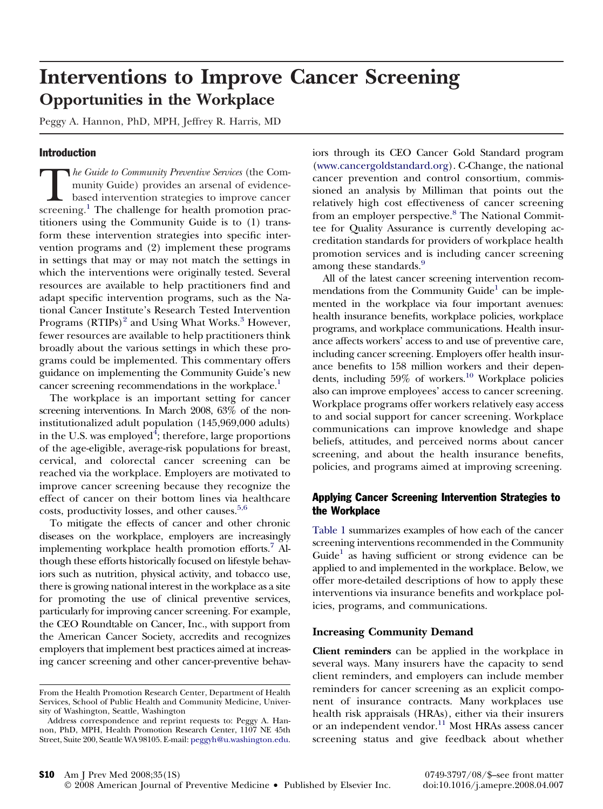# **Interventions to Improve Cancer Screening Opportunities in the Workplace**

Peggy A. Hannon, PhD, MPH, Jeffrey R. Harris, MD

# Introduction

*The Guide to Community Preventive Services* (the Community Guide) provides an arsenal of evidence-<br>based intervention strategies to improve cancer<br>screening.<sup>[1](#page-3-0)</sup> The challenge for health promotion pracmunity Guide) provides an arsenal of evidencebased intervention strategies to improve cancer titioners using the Community Guide is to (1) transform these intervention strategies into specific intervention programs and (2) implement these programs in settings that may or may not match the settings in which the interventions were originally tested. Several resources are available to help practitioners find and adapt specific intervention programs, such as the National Cancer Institute's Research Tested Intervention Programs  $(RTIPs)^2$  $(RTIPs)^2$  and Using What Works.<sup>[3](#page-3-0)</sup> However, fewer resources are available to help practitioners think broadly about the various settings in which these programs could be implemented. This commentary offers guidance on implementing the Community Guide's new cancer screening recommendations in the workplace.<sup>1</sup>

The workplace is an important setting for cancer screening interventions. In March 2008, 63% of the noninstitutionalized adult population (145,969,000 adults) in the U.S. was employed ${}^{4};$  ${}^{4};$  ${}^{4};$  therefore, large proportions of the age-eligible, average-risk populations for breast, cervical, and colorectal cancer screening can be reached via the workplace. Employers are motivated to improve cancer screening because they recognize the effect of cancer on their bottom lines via healthcare costs, productivity losses, and other causes.<sup>[5,6](#page-3-0)</sup>

To mitigate the effects of cancer and other chronic diseases on the workplace, employers are increasingly implementing workplace health promotion efforts[.7](#page-3-0) Although these efforts historically focused on lifestyle behaviors such as nutrition, physical activity, and tobacco use, there is growing national interest in the workplace as a site for promoting the use of clinical preventive services, particularly for improving cancer screening. For example, the CEO Roundtable on Cancer, Inc., with support from the American Cancer Society, accredits and recognizes employers that implement best practices aimed at increasing cancer screening and other cancer-preventive behaviors through its CEO Cancer Gold Standard program [\(www.cancergoldstandard.org\)](http://www.cancergoldstandard.org). C-Change, the national cancer prevention and control consortium, commissioned an analysis by Milliman that points out the relatively high cost effectiveness of cancer screening from an employer perspective.<sup>[8](#page-3-0)</sup> The National Committee for Quality Assurance is currently developing accreditation standards for providers of workplace health promotion services and is including cancer screening among these standards.<sup>[9](#page-3-0)</sup>

All of the latest cancer screening intervention recommendations from the Community Guide<sup>1</sup> can be implemented in the workplace via four important avenues: health insurance benefits, workplace policies, workplace programs, and workplace communications. Health insurance affects workers' access to and use of preventive care, including cancer screening. Employers offer health insurance benefits to 158 million workers and their dependents, including  $59\%$  of workers.<sup>10</sup> Workplace policies also can improve employees' access to cancer screening. Workplace programs offer workers relatively easy access to and social support for cancer screening. Workplace communications can improve knowledge and shape beliefs, attitudes, and perceived norms about cancer screening, and about the health insurance benefits, policies, and programs aimed at improving screening.

# Applying Cancer Screening Intervention Strategies to the Workplace

[Table](#page-1-0) 1 summarizes examples of how each of the cancer screening interventions recommended in the Community Guide<sup>1</sup> as having sufficient or strong evidence can be applied to and implemented in the workplace. Below, we offer more-detailed descriptions of how to apply these interventions via insurance benefits and workplace policies, programs, and communications.

### **Increasing Community Demand**

**Client reminders** can be applied in the workplace in several ways. Many insurers have the capacity to send client reminders, and employers can include member reminders for cancer screening as an explicit component of insurance contracts. Many workplaces use health risk appraisals (HRAs), either via their insurers or an independent vendor.<sup>[11](#page-3-0)</sup> Most HRAs assess cancer screening status and give feedback about whether

From the Health Promotion Research Center, Department of Health Services, School of Public Health and Community Medicine, University of Washington, Seattle, Washington

Address correspondence and reprint requests to: Peggy A. Hannon, PhD, MPH, Health Promotion Research Center, 1107 NE 45th Street, Suite 200, Seattle WA 98105. E-mail: [peggyh@u.washington.edu.](mailto:peggyh@u.washington.edu)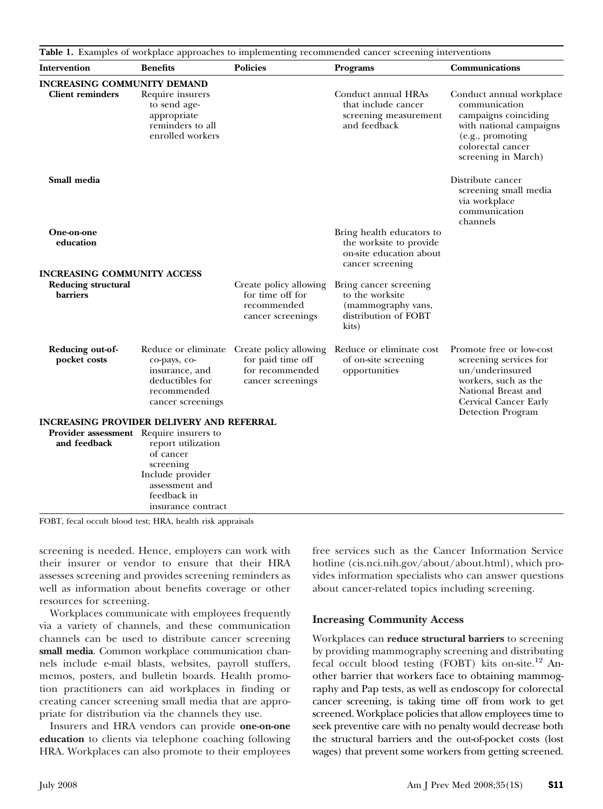<span id="page-1-0"></span>

| Intervention                                  | <b>Benefits</b>                                                                                                                                                           | <b>Policies</b>                                                                     | Programs                                                                                            | Communications                                                                                                                                                     |
|-----------------------------------------------|---------------------------------------------------------------------------------------------------------------------------------------------------------------------------|-------------------------------------------------------------------------------------|-----------------------------------------------------------------------------------------------------|--------------------------------------------------------------------------------------------------------------------------------------------------------------------|
| <b>INCREASING COMMUNITY DEMAND</b>            |                                                                                                                                                                           |                                                                                     |                                                                                                     |                                                                                                                                                                    |
| <b>Client reminders</b>                       | Require insurers<br>to send age-<br>appropriate<br>reminders to all<br>enrolled workers                                                                                   |                                                                                     | Conduct annual HRAs<br>that include cancer<br>screening measurement<br>and feedback                 | Conduct annual workplace<br>communication<br>campaigns coinciding<br>with national campaigns<br>(e.g., promoting<br>colorectal cancer<br>screening in March)       |
| Small media                                   |                                                                                                                                                                           |                                                                                     |                                                                                                     | Distribute cancer<br>screening small media<br>via workplace<br>communication<br>channels                                                                           |
| <b>One-on-one</b><br>education                |                                                                                                                                                                           |                                                                                     | Bring health educators to<br>the worksite to provide<br>on-site education about<br>cancer screening |                                                                                                                                                                    |
| <b>INCREASING COMMUNITY ACCESS</b>            |                                                                                                                                                                           |                                                                                     |                                                                                                     |                                                                                                                                                                    |
| <b>Reducing structural</b><br><b>barriers</b> |                                                                                                                                                                           | Create policy allowing<br>for time off for<br>recommended<br>cancer screenings      | Bring cancer screening<br>to the worksite<br>(mammography vans,<br>distribution of FOBT<br>kits)    |                                                                                                                                                                    |
| Reducing out-of-<br>pocket costs              | Reduce or eliminate<br>co-pays, co-<br>insurance, and<br>deductibles for<br>recommended<br>cancer screenings                                                              | Create policy allowing<br>for paid time off<br>for recommended<br>cancer screenings | Reduce or eliminate cost<br>of on-site screening<br>opportunities                                   | Promote free or low-cost<br>screening services for<br>un/underinsured<br>workers, such as the<br>National Breast and<br>Cervical Cancer Early<br>Detection Program |
|                                               | <b>INCREASING PROVIDER DELIVERY AND REFERRAL</b>                                                                                                                          |                                                                                     |                                                                                                     |                                                                                                                                                                    |
| and feedback                                  | <b>Provider assessment</b> Require insurers to<br>report utilization<br>of cancer<br>screening<br>Include provider<br>assessment and<br>feedback in<br>insurance contract |                                                                                     |                                                                                                     |                                                                                                                                                                    |

FOBT, fecal occult blood test; HRA, health risk appraisals

screening is needed. Hence, employers can work with their insurer or vendor to ensure that their HRA assesses screening and provides screening reminders as well as information about benefits coverage or other resources for screening.

Workplaces communicate with employees frequently via a variety of channels, and these communication channels can be used to distribute cancer screening **small media**. Common workplace communication channels include e-mail blasts, websites, payroll stuffers, memos, posters, and bulletin boards. Health promotion practitioners can aid workplaces in finding or creating cancer screening small media that are appropriate for distribution via the channels they use.

Insurers and HRA vendors can provide **one-on-one education** to clients via telephone coaching following HRA. Workplaces can also promote to their employees free services such as the Cancer Information Service hotline (cis.nci.nih.gov/about/about.html), which provides information specialists who can answer questions about cancer-related topics including screening.

### **Increasing Community Access**

Workplaces can **reduce structural barriers** to screening by providing mammography screening and distributing fecal occult blood testing (FOBT) kits on-site.<sup>[12](#page-3-0)</sup> Another barrier that workers face to obtaining mammography and Pap tests, as well as endoscopy for colorectal cancer screening, is taking time off from work to get screened. Workplace policies that allow employees time to seek preventive care with no penalty would decrease both the structural barriers and the out-of-pocket costs (lost wages) that prevent some workers from getting screened.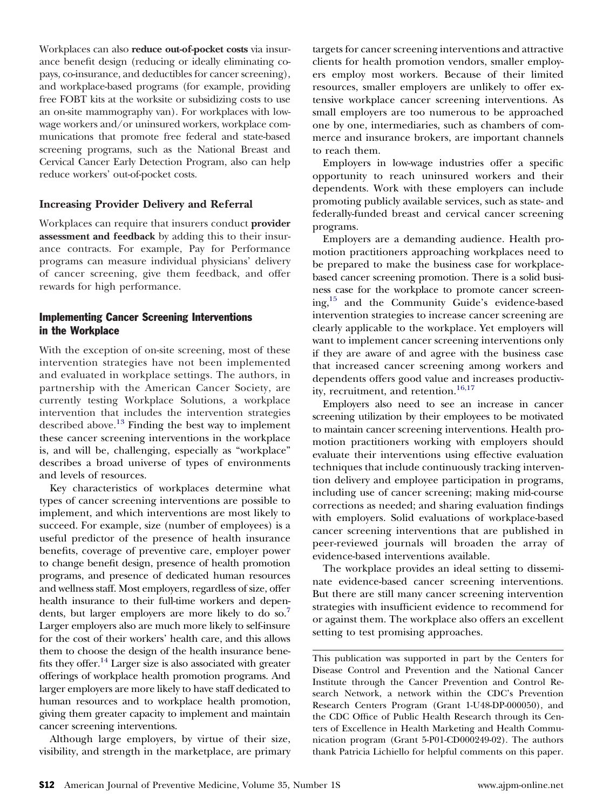Workplaces can also **reduce out-of-pocket costs** via insurance benefit design (reducing or ideally eliminating copays, co-insurance, and deductibles for cancer screening), and workplace-based programs (for example, providing free FOBT kits at the worksite or subsidizing costs to use an on-site mammography van). For workplaces with lowwage workers and/or uninsured workers, workplace communications that promote free federal and state-based screening programs, such as the National Breast and Cervical Cancer Early Detection Program, also can help reduce workers' out-of-pocket costs.

## **Increasing Provider Delivery and Referral**

Workplaces can require that insurers conduct **provider assessment and feedback** by adding this to their insurance contracts. For example, Pay for Performance programs can measure individual physicians' delivery of cancer screening, give them feedback, and offer rewards for high performance.

# Implementing Cancer Screening Interventions in the Workplace

With the exception of on-site screening, most of these intervention strategies have not been implemented and evaluated in workplace settings. The authors, in partnership with the American Cancer Society, are currently testing Workplace Solutions, a workplace intervention that includes the intervention strategies described above.[13](#page-3-0) Finding the best way to implement these cancer screening interventions in the workplace is, and will be, challenging, especially as "workplace" describes a broad universe of types of environments and levels of resources.

Key characteristics of workplaces determine what types of cancer screening interventions are possible to implement, and which interventions are most likely to succeed. For example, size (number of employees) is a useful predictor of the presence of health insurance benefits, coverage of preventive care, employer power to change benefit design, presence of health promotion programs, and presence of dedicated human resources and wellness staff. Most employers, regardless of size, offer health insurance to their full-time workers and dependents, but larger employers are more likely to do so.<sup>7</sup> Larger employers also are much more likely to self-insure for the cost of their workers' health care, and this allows them to choose the design of the health insurance benefits they offer.<sup>14</sup> Larger size is also associated with greater offerings of workplace health promotion programs. And larger employers are more likely to have staff dedicated to human resources and to workplace health promotion, giving them greater capacity to implement and maintain cancer screening interventions.

Although large employers, by virtue of their size, visibility, and strength in the marketplace, are primary

targets for cancer screening interventions and attractive clients for health promotion vendors, smaller employers employ most workers. Because of their limited resources, smaller employers are unlikely to offer extensive workplace cancer screening interventions. As small employers are too numerous to be approached one by one, intermediaries, such as chambers of commerce and insurance brokers, are important channels to reach them.

Employers in low-wage industries offer a specific opportunity to reach uninsured workers and their dependents. Work with these employers can include promoting publicly available services, such as state- and federally-funded breast and cervical cancer screening programs.

Employers are a demanding audience. Health promotion practitioners approaching workplaces need to be prepared to make the business case for workplacebased cancer screening promotion. There is a solid business case for the workplace to promote cancer screening[,15](#page-3-0) and the Community Guide's evidence-based intervention strategies to increase cancer screening are clearly applicable to the workplace. Yet employers will want to implement cancer screening interventions only if they are aware of and agree with the business case that increased cancer screening among workers and dependents offers good value and increases productiv-ity, recruitment, and retention.<sup>[16,17](#page-3-0)</sup>

Employers also need to see an increase in cancer screening utilization by their employees to be motivated to maintain cancer screening interventions. Health promotion practitioners working with employers should evaluate their interventions using effective evaluation techniques that include continuously tracking intervention delivery and employee participation in programs, including use of cancer screening; making mid-course corrections as needed; and sharing evaluation findings with employers. Solid evaluations of workplace-based cancer screening interventions that are published in peer-reviewed journals will broaden the array of evidence-based interventions available.

The workplace provides an ideal setting to disseminate evidence-based cancer screening interventions. But there are still many cancer screening intervention strategies with insufficient evidence to recommend for or against them. The workplace also offers an excellent setting to test promising approaches.

This publication was supported in part by the Centers for Disease Control and Prevention and the National Cancer Institute through the Cancer Prevention and Control Research Network, a network within the CDC's Prevention Research Centers Program (Grant 1-U48-DP-000050), and the CDC Office of Public Health Research through its Centers of Excellence in Health Marketing and Health Communication program (Grant 5-P01-CD000249-02). The authors thank Patricia Lichiello for helpful comments on this paper.